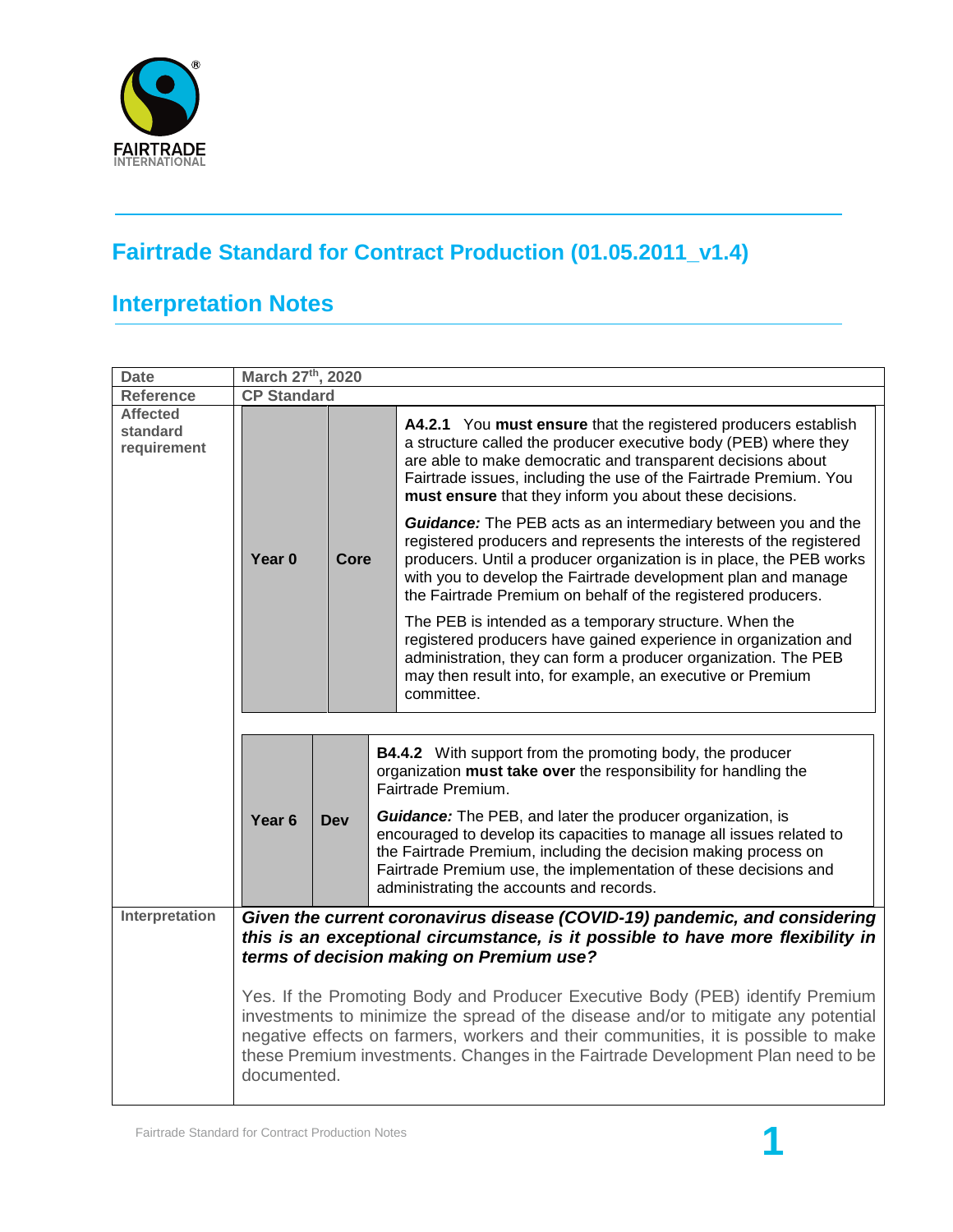

## **Fairtrade Standard for Contract Production (01.05.2011\_v1.4)**

## **Interpretation Notes**

| <b>Date</b>                                | March 27th, 2020                                                                                                                                                                                          |                                                                                                                                                                                                                                                                                                                                                             |  |                                                                                                                                                                                                                                                                                                                                                     |  |
|--------------------------------------------|-----------------------------------------------------------------------------------------------------------------------------------------------------------------------------------------------------------|-------------------------------------------------------------------------------------------------------------------------------------------------------------------------------------------------------------------------------------------------------------------------------------------------------------------------------------------------------------|--|-----------------------------------------------------------------------------------------------------------------------------------------------------------------------------------------------------------------------------------------------------------------------------------------------------------------------------------------------------|--|
| <b>Reference</b>                           | <b>CP Standard</b>                                                                                                                                                                                        |                                                                                                                                                                                                                                                                                                                                                             |  |                                                                                                                                                                                                                                                                                                                                                     |  |
| <b>Affected</b><br>standard<br>requirement |                                                                                                                                                                                                           |                                                                                                                                                                                                                                                                                                                                                             |  | A4.2.1 You must ensure that the registered producers establish<br>a structure called the producer executive body (PEB) where they<br>are able to make democratic and transparent decisions about<br>Fairtrade issues, including the use of the Fairtrade Premium. You<br>must ensure that they inform you about these decisions.                    |  |
|                                            | Year <sub>0</sub>                                                                                                                                                                                         | <b>Core</b>                                                                                                                                                                                                                                                                                                                                                 |  | <b>Guidance:</b> The PEB acts as an intermediary between you and the<br>registered producers and represents the interests of the registered<br>producers. Until a producer organization is in place, the PEB works<br>with you to develop the Fairtrade development plan and manage<br>the Fairtrade Premium on behalf of the registered producers. |  |
|                                            |                                                                                                                                                                                                           |                                                                                                                                                                                                                                                                                                                                                             |  | The PEB is intended as a temporary structure. When the<br>registered producers have gained experience in organization and<br>administration, they can form a producer organization. The PEB<br>may then result into, for example, an executive or Premium<br>committee.                                                                             |  |
|                                            |                                                                                                                                                                                                           |                                                                                                                                                                                                                                                                                                                                                             |  |                                                                                                                                                                                                                                                                                                                                                     |  |
|                                            |                                                                                                                                                                                                           |                                                                                                                                                                                                                                                                                                                                                             |  | <b>B4.4.2</b> With support from the promoting body, the producer<br>organization must take over the responsibility for handling the<br>Fairtrade Premium.                                                                                                                                                                                           |  |
|                                            | Year <sub>6</sub>                                                                                                                                                                                         | <b>Dev</b>                                                                                                                                                                                                                                                                                                                                                  |  | <b>Guidance:</b> The PEB, and later the producer organization, is<br>encouraged to develop its capacities to manage all issues related to<br>the Fairtrade Premium, including the decision making process on<br>Fairtrade Premium use, the implementation of these decisions and<br>administrating the accounts and records.                        |  |
| Interpretation                             | Given the current coronavirus disease (COVID-19) pandemic, and considering<br>this is an exceptional circumstance, is it possible to have more flexibility in<br>terms of decision making on Premium use? |                                                                                                                                                                                                                                                                                                                                                             |  |                                                                                                                                                                                                                                                                                                                                                     |  |
|                                            |                                                                                                                                                                                                           | Yes. If the Promoting Body and Producer Executive Body (PEB) identify Premium<br>investments to minimize the spread of the disease and/or to mitigate any potential<br>negative effects on farmers, workers and their communities, it is possible to make<br>these Premium investments. Changes in the Fairtrade Development Plan need to be<br>documented. |  |                                                                                                                                                                                                                                                                                                                                                     |  |